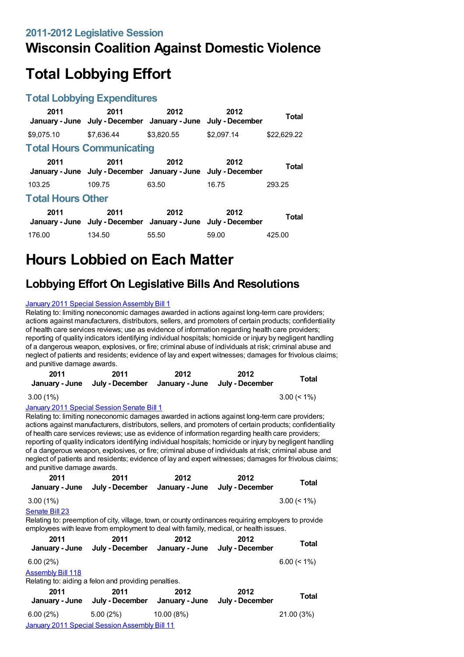### **Wisconsin Coalition Against Domestic Violence**

# **Total Lobbying Effort**

#### **Total Lobbying Expenditures**

| 2011                     | 2011<br>January - June July - December January - June July - December | 2012       | 2012       | Total       |
|--------------------------|-----------------------------------------------------------------------|------------|------------|-------------|
| \$9.075.10               | \$7.636.44                                                            | \$3.820.55 | \$2.097.14 | \$22,629.22 |
|                          | <b>Total Hours Communicating</b>                                      |            |            |             |
| 2011                     | 2011<br>January - June July - December January - June July - December | 2012       | 2012       | Total       |
| 103.25                   | 109.75                                                                | 63.50      | 16.75      | 293.25      |
| <b>Total Hours Other</b> |                                                                       |            |            |             |
| 2011                     | 2011<br>January - June July - December January - June July - December | 2012       | 2012       | Total       |
| 176.00                   | 134.50                                                                | 55.50      | 59.00      | 425.00      |

## **Hours Lobbied on Each Matter**

### **Lobbying Effort On Legislative Bills And Resolutions**

#### January 2011 Special Session [Assembly](https://lobbying.wi.gov/What/BillInformation/2011REG/Information/7903?tab=Efforts) Bill 1

Relating to: limiting noneconomic damages awarded in actions against long-term care providers; actions against manufacturers, distributors, sellers, and promoters of certain products; confidentiality of health care services reviews; use as evidence of information regarding health care providers; reporting of quality indicators identifying individual hospitals; homicide or injury by negligent handling of a dangerous weapon, explosives, or fire; criminal abuse of individuals at risk; criminal abuse and neglect of patients and residents; evidence of lay and expert witnesses; damages for frivolous claims; and punitive damage awards.

| 2011        | 2011<br>January - June July - December | 2012 | 2012<br>January - June July - December | <b>Total</b>   |
|-------------|----------------------------------------|------|----------------------------------------|----------------|
| $3.00(1\%)$ |                                        |      |                                        | $3.00 \le 1\%$ |

January 2011 Special [Session](https://lobbying.wi.gov/What/BillInformation/2011REG/Information/7908?tab=Efforts) Senate Bill 1

Relating to: limiting noneconomic damages awarded in actions against long-term care providers; actions against manufacturers, distributors, sellers, and promoters of certain products; confidentiality of health care services reviews; use as evidence of information regarding health care providers; reporting of quality indicators identifying individual hospitals; homicide or injury by negligent handling of a dangerous weapon, explosives, or fire; criminal abuse of individuals at risk; criminal abuse and neglect of patients and residents; evidence of lay and expert witnesses; damages for frivolous claims; and punitive damage awards.

| 2011                     | 2011<br>January - June July - December January - June                                                                                                                                       | 2012       | 2012<br>July - December | Total          |
|--------------------------|---------------------------------------------------------------------------------------------------------------------------------------------------------------------------------------------|------------|-------------------------|----------------|
| $3.00(1\%)$              |                                                                                                                                                                                             |            |                         | $3.00 \le 1\%$ |
| Senate Bill 23           |                                                                                                                                                                                             |            |                         |                |
|                          | Relating to: preemption of city, village, town, or county ordinances requiring employers to provide<br>employees with leave from employment to deal with family, medical, or health issues. |            |                         |                |
| 2011                     | 2011                                                                                                                                                                                        | 2012       | 2012                    | Total          |
|                          | January - June July - December January - June July - December                                                                                                                               |            |                         |                |
| 6.00(2%)                 |                                                                                                                                                                                             |            |                         | $6.00 \le 1\%$ |
| <b>Assembly Bill 118</b> |                                                                                                                                                                                             |            |                         |                |
|                          | Relating to: aiding a felon and providing penalties.                                                                                                                                        |            |                         |                |
| 2011                     | 2011                                                                                                                                                                                        | 2012       | 2012                    | Total          |
|                          | January - June July - December January - June                                                                                                                                               |            | July - December         |                |
| 6.00 (2%)                | 5.00(2%)                                                                                                                                                                                    | 10.00 (8%) |                         | 21.00 (3%)     |
|                          | January 2011 Special Session Assembly Bill 11                                                                                                                                               |            |                         |                |
|                          |                                                                                                                                                                                             |            |                         |                |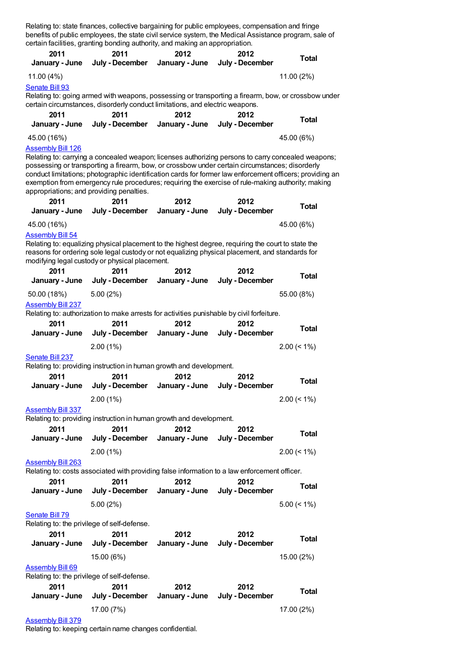Relating to: state finances, collective bargaining for public employees, compensation and fringe benefits of public employees, the state civil service system, the Medical Assistance program, sale of certain facilities, granting bonding authority, and making an appropriation.

| 2011                             | 2011                                                                                                                                                                                                                                                                                                                                                                                                                                                                      | 2012                   | 2012                    | <b>Total</b>   |
|----------------------------------|---------------------------------------------------------------------------------------------------------------------------------------------------------------------------------------------------------------------------------------------------------------------------------------------------------------------------------------------------------------------------------------------------------------------------------------------------------------------------|------------------------|-------------------------|----------------|
| January - June                   | July - December                                                                                                                                                                                                                                                                                                                                                                                                                                                           | January - June         | July - December         |                |
| 11.00 (4%)                       |                                                                                                                                                                                                                                                                                                                                                                                                                                                                           |                        |                         | 11.00 (2%)     |
| Senate Bill 93                   |                                                                                                                                                                                                                                                                                                                                                                                                                                                                           |                        |                         |                |
|                                  | Relating to: going armed with weapons, possessing or transporting a firearm, bow, or crossbow under<br>certain circumstances, disorderly conduct limitations, and electric weapons.                                                                                                                                                                                                                                                                                       |                        |                         |                |
| 2011                             | 2011                                                                                                                                                                                                                                                                                                                                                                                                                                                                      | 2012                   | 2012                    |                |
| January - June                   | July - December                                                                                                                                                                                                                                                                                                                                                                                                                                                           | January - June         | July - December         | <b>Total</b>   |
| 45.00 (16%)                      |                                                                                                                                                                                                                                                                                                                                                                                                                                                                           |                        |                         | 45.00 (6%)     |
| <b>Assembly Bill 126</b><br>2011 | Relating to: carrying a concealed weapon; licenses authorizing persons to carry concealed weapons;<br>possessing or transporting a firearm, bow, or crossbow under certain circumstances; disorderly<br>conduct limitations; photographic identification cards for former law enforcement officers; providing an<br>exemption from emergency rule procedures; requiring the exercise of rule-making authority; making<br>appropriations; and providing penalties.<br>2011 | 2012                   | 2012                    |                |
| January - June                   | July - December                                                                                                                                                                                                                                                                                                                                                                                                                                                           | January - June         | July - December         | <b>Total</b>   |
| 45.00 (16%)                      |                                                                                                                                                                                                                                                                                                                                                                                                                                                                           |                        |                         | 45.00 (6%)     |
| <b>Assembly Bill 54</b>          | Relating to: equalizing physical placement to the highest degree, requiring the court to state the<br>reasons for ordering sole legal custody or not equalizing physical placement, and standards for<br>modifying legal custody or physical placement.                                                                                                                                                                                                                   |                        |                         |                |
| 2011<br>January - June           | 2011<br>July - December                                                                                                                                                                                                                                                                                                                                                                                                                                                   | 2012<br>January - June | 2012<br>July - December | <b>Total</b>   |
| 50.00 (18%)                      | 5.00(2%)                                                                                                                                                                                                                                                                                                                                                                                                                                                                  |                        |                         | 55.00 (8%)     |
| <b>Assembly Bill 237</b>         | Relating to: authorization to make arrests for activities punishable by civil forfeiture.                                                                                                                                                                                                                                                                                                                                                                                 |                        |                         |                |
| 2011                             | 2011                                                                                                                                                                                                                                                                                                                                                                                                                                                                      | 2012                   | 2012                    |                |
| January - June                   | July - December                                                                                                                                                                                                                                                                                                                                                                                                                                                           | January - June         | July - December         | <b>Total</b>   |
|                                  | 2.00(1%)                                                                                                                                                                                                                                                                                                                                                                                                                                                                  |                        |                         | $2.00 \le 1\%$ |
| Senate Bill 237                  |                                                                                                                                                                                                                                                                                                                                                                                                                                                                           |                        |                         |                |
|                                  | Relating to: providing instruction in human growth and development.                                                                                                                                                                                                                                                                                                                                                                                                       |                        |                         |                |
| 2011                             | 2011                                                                                                                                                                                                                                                                                                                                                                                                                                                                      | 2012                   | 2012                    | <b>Total</b>   |
| January - June                   | July - December                                                                                                                                                                                                                                                                                                                                                                                                                                                           | January - June         | July - December         |                |
|                                  | 2.00(1%)                                                                                                                                                                                                                                                                                                                                                                                                                                                                  |                        |                         | $2.00 \le 1\%$ |
| <b>Assembly Bill 337</b>         | Relating to: providing instruction in human growth and development.                                                                                                                                                                                                                                                                                                                                                                                                       |                        |                         |                |
| 2011                             | 2011                                                                                                                                                                                                                                                                                                                                                                                                                                                                      | 2012                   | 2012                    |                |
| January - June                   | July - December                                                                                                                                                                                                                                                                                                                                                                                                                                                           | January - June         | July - December         | <b>Total</b>   |
|                                  | 2.00(1%)                                                                                                                                                                                                                                                                                                                                                                                                                                                                  |                        |                         | $2.00 \le 1\%$ |
| <b>Assembly Bill 263</b>         |                                                                                                                                                                                                                                                                                                                                                                                                                                                                           |                        |                         |                |
|                                  | Relating to: costs associated with providing false information to a law enforcement officer.                                                                                                                                                                                                                                                                                                                                                                              |                        |                         |                |
| 2011                             | 2011                                                                                                                                                                                                                                                                                                                                                                                                                                                                      | 2012                   | 2012                    | <b>Total</b>   |
| January - June                   | July - December                                                                                                                                                                                                                                                                                                                                                                                                                                                           | January - June         | July - December         |                |
|                                  | 5.00(2%)                                                                                                                                                                                                                                                                                                                                                                                                                                                                  |                        |                         | $5.00 \le 1\%$ |
| Senate Bill 79                   | Relating to: the privilege of self-defense.                                                                                                                                                                                                                                                                                                                                                                                                                               |                        |                         |                |
| 2011                             | 2011                                                                                                                                                                                                                                                                                                                                                                                                                                                                      | 2012                   | 2012                    |                |
| January - June                   | July - December                                                                                                                                                                                                                                                                                                                                                                                                                                                           | January - June         | July - December         | <b>Total</b>   |
|                                  | 15.00 (6%)                                                                                                                                                                                                                                                                                                                                                                                                                                                                |                        |                         | 15.00 (2%)     |
| <b>Assembly Bill 69</b>          |                                                                                                                                                                                                                                                                                                                                                                                                                                                                           |                        |                         |                |
|                                  | Relating to: the privilege of self-defense.                                                                                                                                                                                                                                                                                                                                                                                                                               |                        |                         |                |
| 2011<br>January - June           | 2011<br>July - December                                                                                                                                                                                                                                                                                                                                                                                                                                                   | 2012<br>January - June | 2012<br>July - December | <b>Total</b>   |
|                                  | 17.00 (7%)                                                                                                                                                                                                                                                                                                                                                                                                                                                                |                        |                         | 17.00 (2%)     |
|                                  |                                                                                                                                                                                                                                                                                                                                                                                                                                                                           |                        |                         |                |

[Assembly](https://lobbying.wi.gov/What/BillInformation/2011REG/Information/8811?tab=Efforts) Bill 379

Relating to: keeping certain name changes confidential.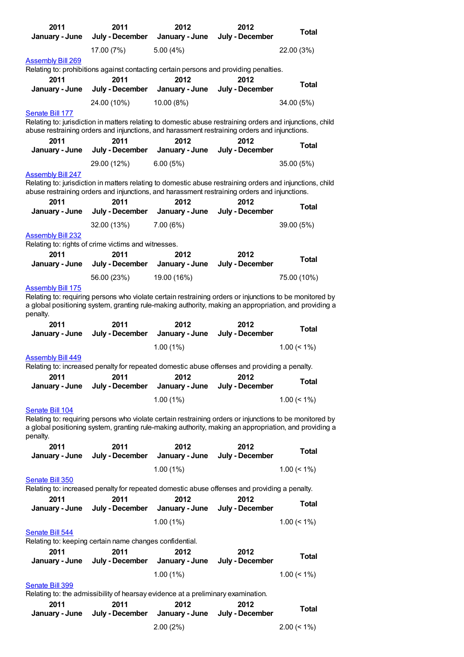| 2011                     | 2011                                                                                                      | 2012                       | 2012            | <b>Total</b>   |
|--------------------------|-----------------------------------------------------------------------------------------------------------|----------------------------|-----------------|----------------|
| January - June           | July - December                                                                                           | January - June             | July - December |                |
|                          | 17.00 (7%)                                                                                                | 5.00(4%)                   |                 | 22.00 (3%)     |
| <b>Assembly Bill 269</b> |                                                                                                           |                            |                 |                |
|                          | Relating to: prohibitions against contacting certain persons and providing penalties.                     |                            |                 |                |
| 2011                     | 2011                                                                                                      | 2012                       | 2012            |                |
| January - June           | July - December                                                                                           | January - June             | July - December | <b>Total</b>   |
|                          |                                                                                                           |                            |                 |                |
|                          | 24.00 (10%)                                                                                               | 10.00 (8%)                 |                 | 34.00 (5%)     |
| Senate Bill 177          |                                                                                                           |                            |                 |                |
|                          | Relating to: jurisdiction in matters relating to domestic abuse restraining orders and injunctions, child |                            |                 |                |
|                          | abuse restraining orders and injunctions, and harassment restraining orders and injunctions.              |                            |                 |                |
| 2011                     | 2011                                                                                                      | 2012                       | 2012            | <b>Total</b>   |
| January - June           | July - December                                                                                           | January - June             | July - December |                |
|                          | 29.00 (12%)                                                                                               | 6.00(5%)                   |                 | 35.00 (5%)     |
| <b>Assembly Bill 247</b> |                                                                                                           |                            |                 |                |
|                          | Relating to: jurisdiction in matters relating to domestic abuse restraining orders and injunctions, child |                            |                 |                |
|                          | abuse restraining orders and injunctions, and harassment restraining orders and injunctions.              |                            |                 |                |
| 2011                     | 2011                                                                                                      | 2012                       | 2012            | Total          |
| January - June           | July - December                                                                                           | January - June             | July - December |                |
|                          | 32.00 (13%)                                                                                               | 7.00(6%)                   |                 | 39.00 (5%)     |
| <b>Assembly Bill 232</b> |                                                                                                           |                            |                 |                |
|                          | Relating to: rights of crime victims and witnesses.                                                       |                            |                 |                |
| 2011                     | 2011                                                                                                      | 2012                       | 2012            |                |
| January - June           | July - December                                                                                           | January - June             | July - December | <b>Total</b>   |
|                          |                                                                                                           |                            |                 |                |
|                          | 56.00 (23%)                                                                                               | 19.00 (16%)                |                 | 75.00 (10%)    |
| <b>Assembly Bill 175</b> |                                                                                                           |                            |                 |                |
|                          | Relating to: requiring persons who violate certain restraining orders or injunctions to be monitored by   |                            |                 |                |
| penalty.                 | a global positioning system, granting rule-making authority, making an appropriation, and providing a     |                            |                 |                |
| 2011                     | 2011                                                                                                      | 2012                       | 2012            |                |
|                          |                                                                                                           |                            |                 |                |
|                          |                                                                                                           |                            |                 | <b>Total</b>   |
| January - June           | July - December                                                                                           | January - June             | July - December |                |
|                          |                                                                                                           | 1.00(1%)                   |                 | $1.00 \le 1\%$ |
| <b>Assembly Bill 449</b> |                                                                                                           |                            |                 |                |
|                          | Relating to: increased penalty for repeated domestic abuse offenses and providing a penalty.              |                            |                 |                |
| 2011                     | 2011                                                                                                      | 2012                       | 2012            |                |
| January - June           | July - December                                                                                           | January - June             | July - December | Total          |
|                          |                                                                                                           |                            |                 |                |
|                          |                                                                                                           | 1.00(1%)                   |                 | $1.00 \le 1\%$ |
| Senate Bill 104          |                                                                                                           |                            |                 |                |
|                          | Relating to: requiring persons who violate certain restraining orders or injunctions to be monitored by   |                            |                 |                |
| penalty.                 | a global positioning system, granting rule-making authority, making an appropriation, and providing a     |                            |                 |                |
| 2011                     | 2011                                                                                                      | 2012                       | 2012            |                |
|                          |                                                                                                           |                            | July - December | <b>Total</b>   |
| January - June           | July - December                                                                                           | January - June             |                 |                |
|                          |                                                                                                           | 1.00(1%)                   |                 | $1.00 (< 1\%)$ |
| Senate Bill 350          |                                                                                                           |                            |                 |                |
|                          | Relating to: increased penalty for repeated domestic abuse offenses and providing a penalty.              |                            |                 |                |
| 2011                     | 2011                                                                                                      | 2012                       | 2012            | Total          |
| January - June           | July - December                                                                                           | January - June             | July - December |                |
|                          |                                                                                                           | $1.00(1\%)$                |                 | $1.00 \le 1\%$ |
| Senate Bill 544          |                                                                                                           |                            |                 |                |
|                          | Relating to: keeping certain name changes confidential.                                                   |                            |                 |                |
| 2011                     | 2011                                                                                                      | 2012                       | 2012            |                |
| January - June           | July - December                                                                                           | January - June             | July - December | <b>Total</b>   |
|                          |                                                                                                           |                            |                 |                |
|                          |                                                                                                           | 1.00(1%)                   |                 | $1.00 \le 1\%$ |
| Senate Bill 399          |                                                                                                           |                            |                 |                |
|                          | Relating to: the admissibility of hearsay evidence at a preliminary examination.                          |                            |                 |                |
| 2011                     | 2011                                                                                                      | 2012                       | 2012            | <b>Total</b>   |
| January - June           | July - December                                                                                           | January - June<br>2.00(2%) | July - December | $2.00 (< 1\%)$ |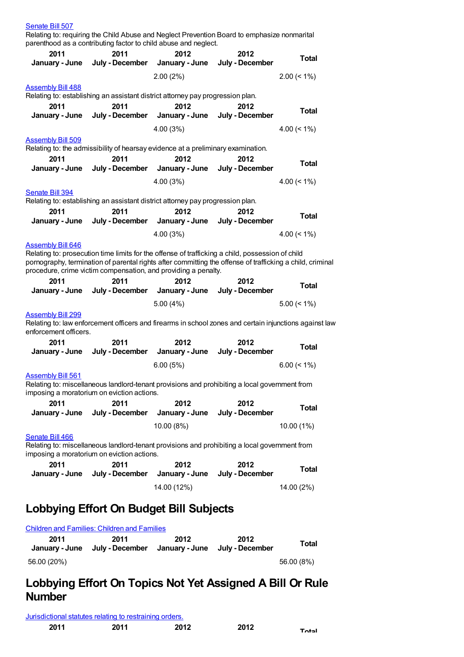| Senate Bill 507                                   | parenthood as a contributing factor to child abuse and neglect.                  |                                        | Relating to: requiring the Child Abuse and Neglect Prevention Board to emphasize nonmarital                                                                                                                   |                |
|---------------------------------------------------|----------------------------------------------------------------------------------|----------------------------------------|---------------------------------------------------------------------------------------------------------------------------------------------------------------------------------------------------------------|----------------|
| 2011                                              | 2011                                                                             | 2012                                   | 2012                                                                                                                                                                                                          | <b>Total</b>   |
| January - June                                    | July - December                                                                  | January - June                         | July - December                                                                                                                                                                                               |                |
|                                                   |                                                                                  | 2.00(2%)                               |                                                                                                                                                                                                               | $2.00 \le 1\%$ |
| <b>Assembly Bill 488</b>                          | Relating to: establishing an assistant district attorney pay progression plan.   |                                        |                                                                                                                                                                                                               |                |
| 2011<br>January - June                            | 2011                                                                             | 2012<br>July - December January - June | 2012<br>July - December                                                                                                                                                                                       | <b>Total</b>   |
|                                                   |                                                                                  |                                        |                                                                                                                                                                                                               |                |
|                                                   |                                                                                  | 4.00(3%)                               |                                                                                                                                                                                                               | $4.00 \le 1\%$ |
| <b>Assembly Bill 509</b>                          | Relating to: the admissibility of hearsay evidence at a preliminary examination. |                                        |                                                                                                                                                                                                               |                |
| 2011                                              | 2011                                                                             | 2012                                   | 2012                                                                                                                                                                                                          |                |
| January - June                                    | July - December                                                                  | January - June                         | July - December                                                                                                                                                                                               | <b>Total</b>   |
|                                                   |                                                                                  | 4.00 (3%)                              |                                                                                                                                                                                                               | 4.00 $(< 1\%)$ |
| Senate Bill 394                                   |                                                                                  |                                        |                                                                                                                                                                                                               |                |
|                                                   | Relating to: establishing an assistant district attorney pay progression plan.   |                                        |                                                                                                                                                                                                               |                |
| 2011                                              | 2011                                                                             | 2012                                   | 2012                                                                                                                                                                                                          | <b>Total</b>   |
| January - June                                    | July - December                                                                  | January - June                         | July - December                                                                                                                                                                                               |                |
|                                                   |                                                                                  | 4.00(3%)                               |                                                                                                                                                                                                               | 4.00 $($ < 1%) |
| <b>Assembly Bill 646</b>                          | procedure, crime victim compensation, and providing a penalty.                   |                                        | Relating to: prosecution time limits for the offense of trafficking a child, possession of child<br>pornography, termination of parental rights after committing the offense of trafficking a child, criminal |                |
| 2011                                              | 2011                                                                             | 2012                                   | 2012                                                                                                                                                                                                          | <b>Total</b>   |
| January - June                                    |                                                                                  | July - December January - June         | July - December                                                                                                                                                                                               |                |
|                                                   |                                                                                  | 5.00(4%)                               |                                                                                                                                                                                                               | $5.00 \le 1\%$ |
| <b>Assembly Bill 299</b><br>enforcement officers. |                                                                                  |                                        | Relating to: law enforcement officers and firearms in school zones and certain injunctions against law                                                                                                        |                |
| 2011<br>January - June                            | 2011<br>July - December                                                          | 2012<br>January - June                 | 2012<br>July - December                                                                                                                                                                                       | <b>Total</b>   |
|                                                   |                                                                                  | 6.00(5%)                               |                                                                                                                                                                                                               | $6.00 \le 1\%$ |
| <b>Assembly Bill 561</b>                          | imposing a moratorium on eviction actions.                                       |                                        | Relating to: miscellaneous landlord-tenant provisions and prohibiting a local government from                                                                                                                 |                |
| 2011<br>January - June                            | 2011<br>July - December                                                          | 2012<br>January - June                 | 2012<br>July - December                                                                                                                                                                                       | <b>Total</b>   |
|                                                   |                                                                                  | 10.00 (8%)                             |                                                                                                                                                                                                               | 10.00 (1%)     |
| Senate Bill 466                                   | imposing a moratorium on eviction actions.                                       |                                        | Relating to: miscellaneous landlord-tenant provisions and prohibiting a local government from                                                                                                                 |                |
| 2011<br>January - June                            | 2011<br>July - December                                                          | 2012<br>January - June                 | 2012<br>July - December                                                                                                                                                                                       | <b>Total</b>   |
|                                                   |                                                                                  |                                        |                                                                                                                                                                                                               |                |

### **Lobbying Effort On Budget Bill Subjects**

| <b>Children and Families: Children and Families</b> |                         |                          |                         |            |  |
|-----------------------------------------------------|-------------------------|--------------------------|-------------------------|------------|--|
| 2011<br>January - June                              | 2011<br>July - December | 2012<br>· January - June | 2012<br>Julv - December | Total      |  |
| 56.00 (20%)                                         |                         |                          |                         | 56.00 (8%) |  |

### **Lobbying Effort On Topics Not Yet Assigned A Bill Or Rule Number**

[Jurisdictional](https://lobbying.wi.gov/What/TopicInformation/2011REG/Information/24017?tab=Efforts) statutes relating to restraining orders.

| 2011<br>2011<br>2012<br>2012 | Total |
|------------------------------|-------|
|------------------------------|-------|